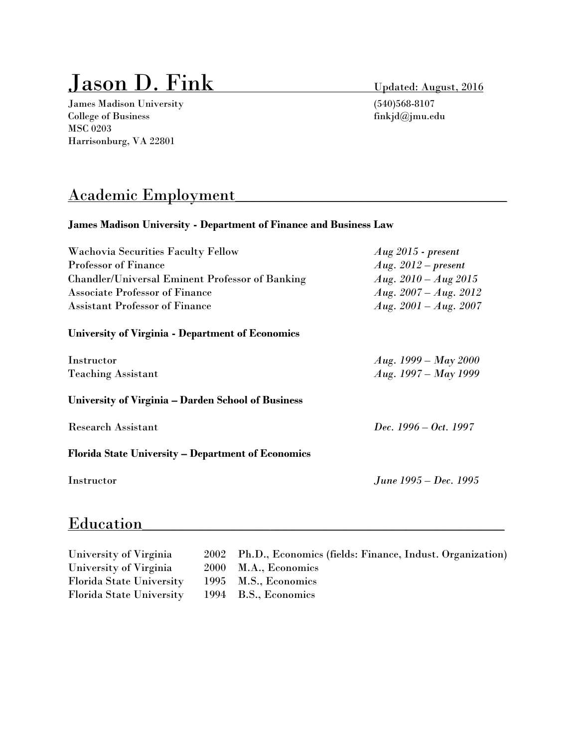# **Updated: August, 2016**

James Madison University (540)568-8107 College of Business finkjd@jmu.edu MSC 0203 Harrisonburg, VA 22801

## Academic Employment\_\_\_\_\_\_\_\_\_\_\_\_\_\_\_\_\_\_\_\_\_\_\_\_\_\_\_\_\_\_\_\_\_\_\_\_

#### **James Madison University - Department of Finance and Business Law**

| <b>Wachovia Securities Faculty Fellow</b>                 | $Aug\,2015$ - present   |
|-----------------------------------------------------------|-------------------------|
| <b>Professor of Finance</b>                               | Aug. $2012$ – present   |
| <b>Chandler/Universal Eminent Professor of Banking</b>    | Aug. $2010 - Aug\ 2015$ |
| <b>Associate Professor of Finance</b>                     | Aug. $2007 - Aug. 2012$ |
| <b>Assistant Professor of Finance</b>                     | Aug. $2001 - Aug. 2007$ |
| <b>University of Virginia - Department of Economics</b>   |                         |
| Instructor                                                | Aug. $1999 - May 2000$  |
| <b>Teaching Assistant</b>                                 | Aug. $1997 - May 1999$  |
| University of Virginia – Darden School of Business        |                         |
| <b>Research Assistant</b>                                 | $Dec. 1996 - Oct. 1997$ |
| <b>Florida State University – Department of Economics</b> |                         |
| Instructor                                                | June 1995 – Dec. 1995   |
|                                                           |                         |

### Education

University of Virginia 2002 Ph.D., Economics (fields: Finance, Indust. Organization) University of Virginia 2000 M.A., Economics Florida State University 1995 M.S., Economics Florida State University 1994 B.S., Economics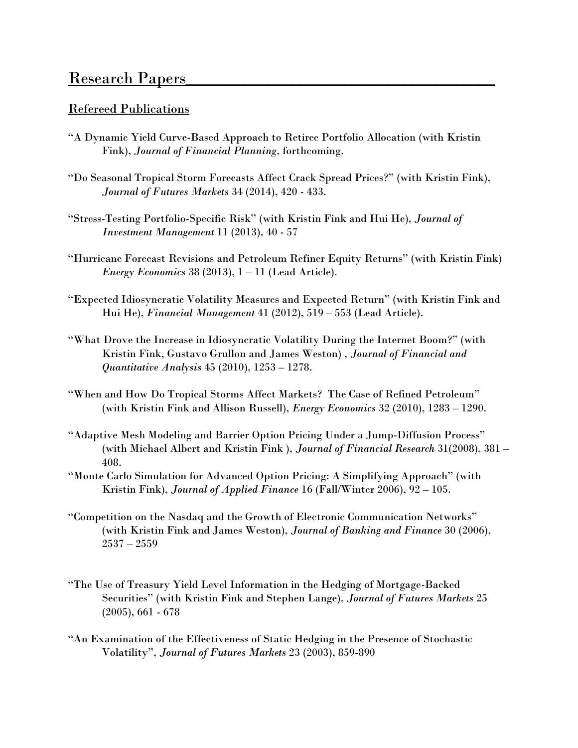### Research Papers

#### Refereed Publications

- "A Dynamic Yield Curve-Based Approach to Retiree Portfolio Allocation (with Kristin Fink), *Journal of Financial Planning*, forthcoming.
- "Do Seasonal Tropical Storm Forecasts Affect Crack Spread Prices?" (with Kristin Fink), *Journal of Futures Markets* 34 (2014), 420 - 433.
- "Stress-Testing Portfolio-Specific Risk" (with Kristin Fink and Hui He), *Journal of Investment Management* 11 (2013), 40 - 57
- "Hurricane Forecast Revisions and Petroleum Refiner Equity Returns" (with Kristin Fink) *Energy Economics* 38 (2013), 1 – 11 (Lead Article).
- "Expected Idiosyncratic Volatility Measures and Expected Return" (with Kristin Fink and Hui He), *Financial Management* 41 (2012), 519 – 553 (Lead Article).
- "What Drove the Increase in Idiosyncratic Volatility During the Internet Boom?" (with Kristin Fink, Gustavo Grullon and James Weston) , *Journal of Financial and Quantitative Analysis* 45 (2010), 1253 – 1278.
- "When and How Do Tropical Storms Affect Markets? The Case of Refined Petroleum" (with Kristin Fink and Allison Russell), *Energy Economics* 32 (2010), 1283 – 1290.
- "Adaptive Mesh Modeling and Barrier Option Pricing Under a Jump-Diffusion Process" (with Michael Albert and Kristin Fink ), *Journal of Financial Research* 31(2008), 381 – 408.
- "Monte Carlo Simulation for Advanced Option Pricing: A Simplifying Approach" (with Kristin Fink), *Journal of Applied Finance* 16 (Fall/Winter 2006), 92 – 105.
- "Competition on the Nasdaq and the Growth of Electronic Communication Networks" (with Kristin Fink and James Weston), *Journal of Banking and Finance* 30 (2006), 2537 – 2559
- "The Use of Treasury Yield Level Information in the Hedging of Mortgage-Backed Securities" (with Kristin Fink and Stephen Lange), *Journal of Futures Markets* 25 (2005), 661 - 678
- "An Examination of the Effectiveness of Static Hedging in the Presence of Stochastic Volatility", *Journal of Futures Markets* 23 (2003), 859-890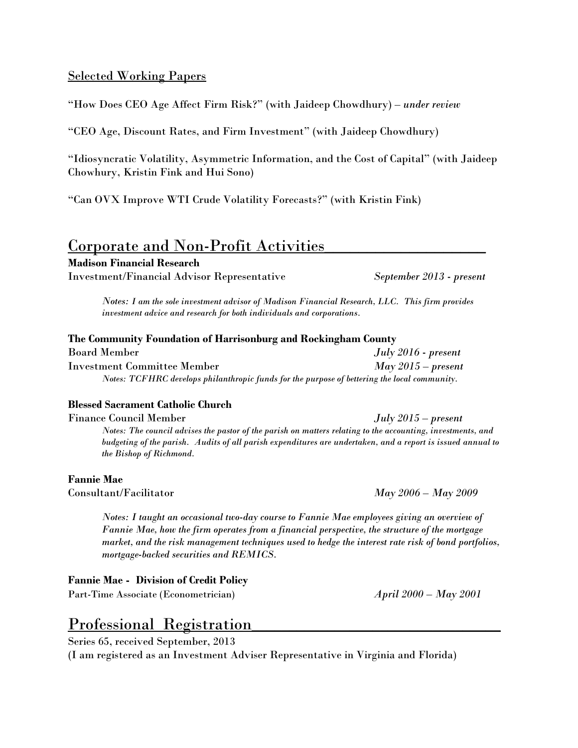### Selected Working Papers

"How Does CEO Age Affect Firm Risk?" (with Jaideep Chowdhury) – *under review*

"CEO Age, Discount Rates, and Firm Investment" (with Jaideep Chowdhury)

"Idiosyncratic Volatility, Asymmetric Information, and the Cost of Capital" (with Jaideep Chowhury, Kristin Fink and Hui Sono)

"Can OVX Improve WTI Crude Volatility Forecasts?" (with Kristin Fink)

### Corporate and Non-Profit Activities

**Madison Financial Research**

Investment/Financial Advisor Representative *September 2013 - present*

*Notes: I am the sole investment advisor of Madison Financial Research, LLC. This firm provides investment advice and research for both individuals and corporations.* 

#### **The Community Foundation of Harrisonburg and Rockingham County**

| Board Member                                                                                 | $July 2016 - present$ |
|----------------------------------------------------------------------------------------------|-----------------------|
| Investment Committee Member                                                                  | $May\,2015-present$   |
| Notes: TCFHRC develops philanthropic funds for the purpose of bettering the local community. |                       |

#### **Blessed Sacrament Catholic Church**

Finance Council Member *July 2015 – present*

*Notes: The council advises the pastor of the parish on matters relating to the accounting, investments, and budgeting of the parish. Audits of all parish expenditures are undertaken, and a report is issued annual to the Bishop of Richmond.*

#### **Fannie Mae**

Consultant/Facilitator *May 2006 – May 2009*

*Notes: I taught an occasional two-day course to Fannie Mae employees giving an overview of Fannie Mae, how the firm operates from a financial perspective, the structure of the mortgage market, and the risk management techniques used to hedge the interest rate risk of bond portfolios, mortgage-backed securities and REMICS.* 

#### **Fannie Mae - Division of Credit Policy**

Part-Time Associate (Econometrician) *April 2000 – May 2001*

### Professional Registration

Series 65, received September, 2013

(I am registered as an Investment Adviser Representative in Virginia and Florida)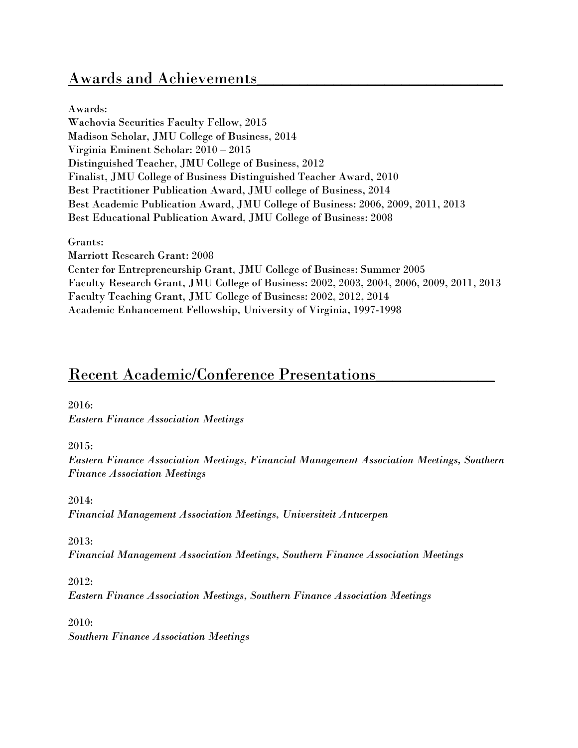### Awards and Achievements

Awards: Wachovia Securities Faculty Fellow, 2015 Madison Scholar, JMU College of Business, 2014 Virginia Eminent Scholar: 2010 – 2015 Distinguished Teacher, JMU College of Business, 2012 Finalist, JMU College of Business Distinguished Teacher Award, 2010 Best Practitioner Publication Award, JMU college of Business, 2014 Best Academic Publication Award, JMU College of Business: 2006, 2009, 2011, 2013 Best Educational Publication Award, JMU College of Business: 2008

Grants:

Marriott Research Grant: 2008

Center for Entrepreneurship Grant, JMU College of Business: Summer 2005 Faculty Research Grant, JMU College of Business: 2002, 2003, 2004, 2006, 2009, 2011, 2013 Faculty Teaching Grant, JMU College of Business: 2002, 2012, 2014 Academic Enhancement Fellowship, University of Virginia, 1997-1998

### Recent Academic/Conference Presentations

2016:

*Eastern Finance Association Meetings*

2015:

*Eastern Finance Association Meetings, Financial Management Association Meetings, Southern Finance Association Meetings*

2014: *Financial Management Association Meetings, Universiteit Antwerpen*

2013:

*Financial Management Association Meetings, Southern Finance Association Meetings*

2012:

*Eastern Finance Association Meetings, Southern Finance Association Meetings*

2010:

*Southern Finance Association Meetings*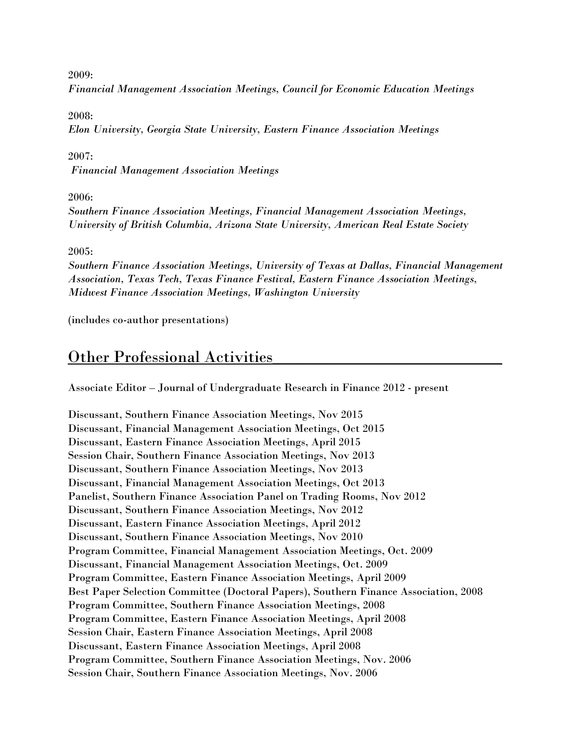2009:

*Financial Management Association Meetings, Council for Economic Education Meetings*

2008:

*Elon University, Georgia State University, Eastern Finance Association Meetings*

2007:

*Financial Management Association Meetings*

2006:

*Southern Finance Association Meetings, Financial Management Association Meetings, University of British Columbia, Arizona State University, American Real Estate Society*

2005:

*Southern Finance Association Meetings, University of Texas at Dallas, Financial Management Association, Texas Tech, Texas Finance Festival, Eastern Finance Association Meetings, Midwest Finance Association Meetings, Washington University*

(includes co-author presentations)

### Other Professional Activities

Associate Editor – Journal of Undergraduate Research in Finance 2012 - present

Discussant, Southern Finance Association Meetings, Nov 2015 Discussant, Financial Management Association Meetings, Oct 2015 Discussant, Eastern Finance Association Meetings, April 2015 Session Chair, Southern Finance Association Meetings, Nov 2013 Discussant, Southern Finance Association Meetings, Nov 2013 Discussant, Financial Management Association Meetings, Oct 2013 Panelist, Southern Finance Association Panel on Trading Rooms, Nov 2012 Discussant, Southern Finance Association Meetings, Nov 2012 Discussant, Eastern Finance Association Meetings, April 2012 Discussant, Southern Finance Association Meetings, Nov 2010 Program Committee, Financial Management Association Meetings, Oct. 2009 Discussant, Financial Management Association Meetings, Oct. 2009 Program Committee, Eastern Finance Association Meetings, April 2009 Best Paper Selection Committee (Doctoral Papers), Southern Finance Association, 2008 Program Committee, Southern Finance Association Meetings, 2008 Program Committee, Eastern Finance Association Meetings, April 2008 Session Chair, Eastern Finance Association Meetings, April 2008 Discussant, Eastern Finance Association Meetings, April 2008 Program Committee, Southern Finance Association Meetings, Nov. 2006 Session Chair, Southern Finance Association Meetings, Nov. 2006